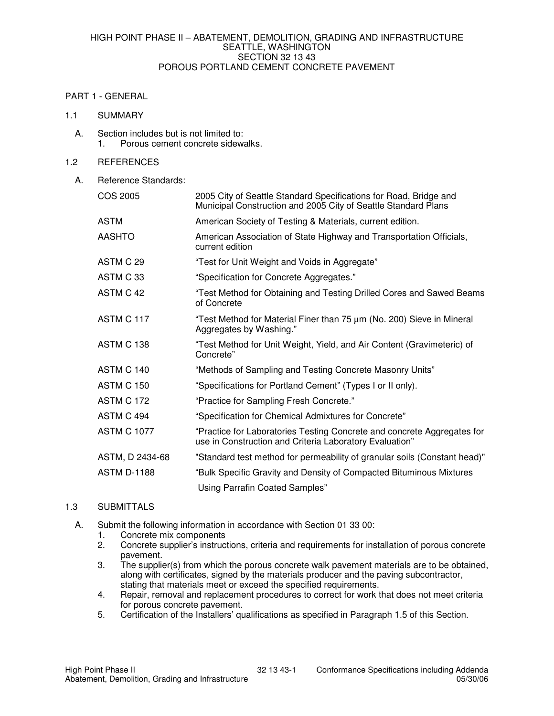### PART 1 - GENERAL

#### 1.1 SUMMARY

A. Section includes but is not limited to:<br>1. Porous cement concrete sidewa 1. Porous cement concrete sidewalks.

# 1.2 REFERENCES

A. Reference Standards:

| <b>COS 2005</b>    | 2005 City of Seattle Standard Specifications for Road, Bridge and<br>Municipal Construction and 2005 City of Seattle Standard Plans |  |
|--------------------|-------------------------------------------------------------------------------------------------------------------------------------|--|
| <b>ASTM</b>        | American Society of Testing & Materials, current edition.                                                                           |  |
| <b>AASHTO</b>      | American Association of State Highway and Transportation Officials,<br>current edition                                              |  |
| ASTM C 29          | "Test for Unit Weight and Voids in Aggregate"                                                                                       |  |
| ASTM C 33          | "Specification for Concrete Aggregates."                                                                                            |  |
| ASTM C 42          | "Test Method for Obtaining and Testing Drilled Cores and Sawed Beams<br>of Concrete                                                 |  |
| ASTM C 117         | "Test Method for Material Finer than 75 µm (No. 200) Sieve in Mineral<br>Aggregates by Washing."                                    |  |
| ASTM C 138         | "Test Method for Unit Weight, Yield, and Air Content (Gravimeteric) of<br>Concrete"                                                 |  |
| ASTM C 140         | "Methods of Sampling and Testing Concrete Masonry Units"                                                                            |  |
| <b>ASTM C 150</b>  | "Specifications for Portland Cement" (Types I or II only).                                                                          |  |
| <b>ASTM C 172</b>  | "Practice for Sampling Fresh Concrete."                                                                                             |  |
| ASTM C 494         | "Specification for Chemical Admixtures for Concrete"                                                                                |  |
| <b>ASTM C 1077</b> | "Practice for Laboratories Testing Concrete and concrete Aggregates for<br>use in Construction and Criteria Laboratory Evaluation"  |  |
| ASTM, D 2434-68    | "Standard test method for permeability of granular soils (Constant head)"                                                           |  |
| <b>ASTM D-1188</b> | "Bulk Specific Gravity and Density of Compacted Bituminous Mixtures                                                                 |  |
|                    | Using Parrafin Coated Samples"                                                                                                      |  |

# 1.3 SUBMITTALS

- A. Submit the following information in accordance with Section 01 33 00:
	- 1. Concrete mix components<br>2. Concrete supplier's instruct
	- 2. Concrete supplier's instructions, criteria and requirements for installation of porous concrete pavement.
	- 3. The supplier(s) from which the porous concrete walk pavement materials are to be obtained, along with certificates, signed by the materials producer and the paving subcontractor, stating that materials meet or exceed the specified requirements.
	- 4. Repair, removal and replacement procedures to correct for work that does not meet criteria for porous concrete pavement.
	- 5. Certification of the Installers' qualifications as specified in Paragraph 1.5 of this Section.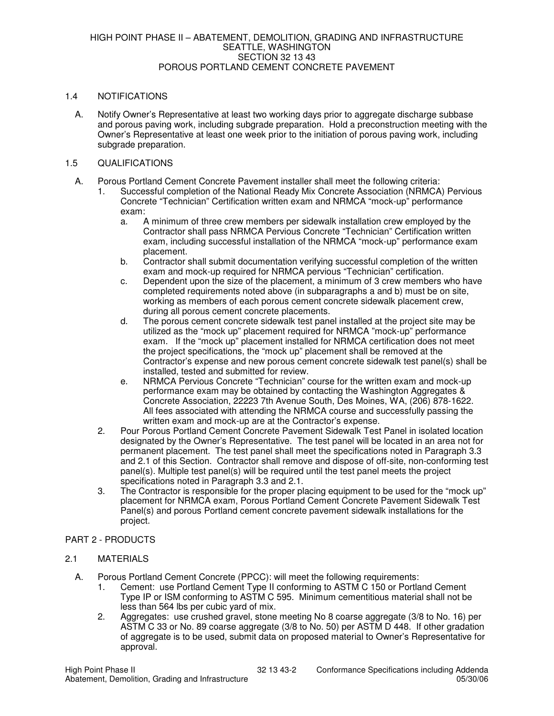# 1.4 NOTIFICATIONS

A. Notify Owner's Representative at least two working days prior to aggregate discharge subbase and porous paving work, including subgrade preparation. Hold a preconstruction meeting with the Owner's Representative at least one week prior to the initiation of porous paving work, including subgrade preparation.

#### 1.5 QUALIFICATIONS

- A. Porous Portland Cement Concrete Pavement installer shall meet the following criteria:
	- 1. Successful completion of the National Ready Mix Concrete Association (NRMCA) Pervious Concrete "Technician" Certification written exam and NRMCA "mock-up" performance exam:
		- a. A minimum of three crew members per sidewalk installation crew employed by the Contractor shall pass NRMCA Pervious Concrete "Technician" Certification written exam, including successful installation of the NRMCA "mock-up" performance exam placement.
		- b. Contractor shall submit documentation verifying successful completion of the written exam and mock-up required for NRMCA pervious "Technician" certification.
		- c. Dependent upon the size of the placement, a minimum of 3 crew members who have completed requirements noted above (in subparagraphs a and b) must be on site, working as members of each porous cement concrete sidewalk placement crew, during all porous cement concrete placements.
		- d. The porous cement concrete sidewalk test panel installed at the project site may be utilized as the "mock up" placement required for NRMCA "mock-up" performance exam. If the "mock up" placement installed for NRMCA certification does not meet the project specifications, the "mock up" placement shall be removed at the Contractor's expense and new porous cement concrete sidewalk test panel(s) shall be installed, tested and submitted for review.
		- e. NRMCA Pervious Concrete "Technician" course for the written exam and mock-up performance exam may be obtained by contacting the Washington Aggregates & Concrete Association, 22223 7th Avenue South, Des Moines, WA, (206) 878-1622. All fees associated with attending the NRMCA course and successfully passing the written exam and mock-up are at the Contractor's expense.
	- 2. Pour Porous Portland Cement Concrete Pavement Sidewalk Test Panel in isolated location designated by the Owner's Representative. The test panel will be located in an area not for permanent placement. The test panel shall meet the specifications noted in Paragraph 3.3 and 2.1 of this Section. Contractor shall remove and dispose of off-site, non-conforming test panel(s). Multiple test panel(s) will be required until the test panel meets the project specifications noted in Paragraph 3.3 and 2.1.
	- 3. The Contractor is responsible for the proper placing equipment to be used for the "mock up" placement for NRMCA exam, Porous Portland Cement Concrete Pavement Sidewalk Test Panel(s) and porous Portland cement concrete pavement sidewalk installations for the project.

# PART 2 - PRODUCTS

# 2.1 MATERIALS

- A. Porous Portland Cement Concrete (PPCC): will meet the following requirements:
	- 1. Cement: use Portland Cement Type II conforming to ASTM C 150 or Portland Cement Type IP or ISM conforming to ASTM C 595. Minimum cementitious material shall not be less than 564 lbs per cubic yard of mix.
	- 2. Aggregates: use crushed gravel, stone meeting No 8 coarse aggregate (3/8 to No. 16) per ASTM C 33 or No. 89 coarse aggregate (3/8 to No. 50) per ASTM D 448. If other gradation of aggregate is to be used, submit data on proposed material to Owner's Representative for approval.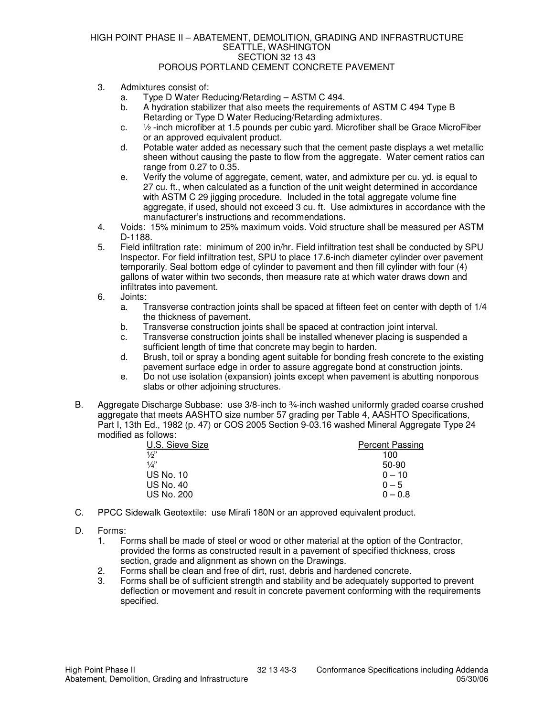#### HIGH POINT PHASE II – ABATEMENT, DEMOLITION, GRADING AND INFRASTRUCTURE SEATTLE, WASHINGTON SECTION 32 13 43 POROUS PORTLAND CEMENT CONCRETE PAVEMENT

- 3. Admixtures consist of:
	- a. Type D Water Reducing/Retarding ASTM C 494.
	- b. A hydration stabilizer that also meets the requirements of ASTM C 494 Type B Retarding or Type D Water Reducing/Retarding admixtures.
	- c.  $\frac{1}{2}$ -inch microfiber at 1.5 pounds per cubic vard. Microfiber shall be Grace MicroFiber or an approved equivalent product.
	- d. Potable water added as necessary such that the cement paste displays a wet metallic sheen without causing the paste to flow from the aggregate. Water cement ratios can range from 0.27 to 0.35.
	- e. Verify the volume of aggregate, cement, water, and admixture per cu. yd. is equal to 27 cu. ft., when calculated as a function of the unit weight determined in accordance with ASTM C 29 jigging procedure. Included in the total aggregate volume fine aggregate, if used, should not exceed 3 cu. ft. Use admixtures in accordance with the manufacturer's instructions and recommendations.
- 4. Voids: 15% minimum to 25% maximum voids. Void structure shall be measured per ASTM D-1188.
- 5. Field infiltration rate: minimum of 200 in/hr. Field infiltration test shall be conducted by SPU Inspector. For field infiltration test, SPU to place 17.6-inch diameter cylinder over pavement temporarily. Seal bottom edge of cylinder to pavement and then fill cylinder with four (4) gallons of water within two seconds, then measure rate at which water draws down and infiltrates into pavement.
- 6. Joints:
	- a. Transverse contraction joints shall be spaced at fifteen feet on center with depth of 1/4 the thickness of pavement.
	- b. Transverse construction joints shall be spaced at contraction joint interval.
	- c. Transverse construction joints shall be installed whenever placing is suspended a sufficient length of time that concrete may begin to harden.
	- d. Brush, toil or spray a bonding agent suitable for bonding fresh concrete to the existing pavement surface edge in order to assure aggregate bond at construction joints.
	- e. Do not use isolation (expansion) joints except when pavement is abutting nonporous slabs or other adjoining structures.
- B. Aggregate Discharge Subbase: use 3/8-inch to 3/4-inch washed uniformly graded coarse crushed aggregate that meets AASHTO size number 57 grading per Table 4, AASHTO Specifications, Part I, 13th Ed., 1982 (p. 47) or COS 2005 Section 9-03.16 washed Mineral Aggregate Type 24 modified as follows:

| U.S. Sieve Size   | <b>Percent Passing</b> |
|-------------------|------------------------|
| $\frac{1}{2}$     | 100                    |
| 1/a''             | 50-90                  |
| <b>US No. 10</b>  | $0 - 10$               |
| US No. 40         | $0 - 5$                |
| <b>US No. 200</b> | $0 - 0.8$              |

- C. PPCC Sidewalk Geotextile: use Mirafi 180N or an approved equivalent product.
- D. Forms:
	- 1. Forms shall be made of steel or wood or other material at the option of the Contractor, provided the forms as constructed result in a pavement of specified thickness, cross section, grade and alignment as shown on the Drawings.
	- 2. Forms shall be clean and free of dirt, rust, debris and hardened concrete.<br>3. Forms shall be of sufficient strength and stability and be adequately support
	- Forms shall be of sufficient strength and stability and be adequately supported to prevent deflection or movement and result in concrete pavement conforming with the requirements specified.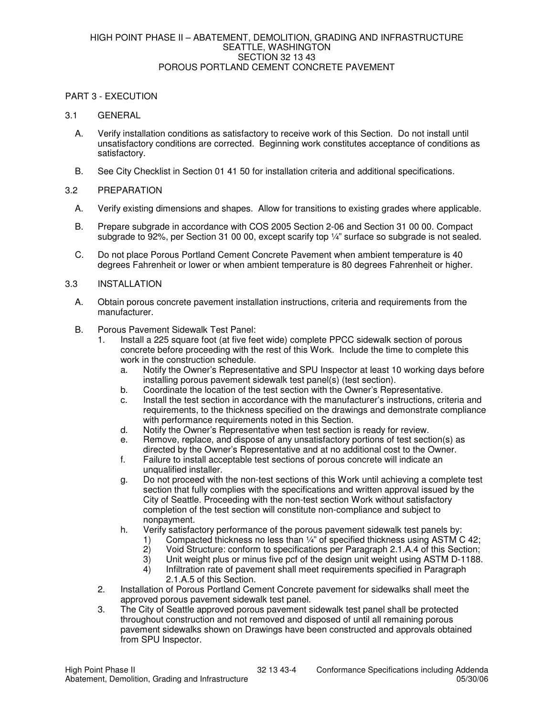# PART 3 - EXECUTION

#### 3.1 GENERAL

- A. Verify installation conditions as satisfactory to receive work of this Section. Do not install until unsatisfactory conditions are corrected. Beginning work constitutes acceptance of conditions as satisfactory.
- B. See City Checklist in Section 01 41 50 for installation criteria and additional specifications.

### 3.2 PREPARATION

- A. Verify existing dimensions and shapes. Allow for transitions to existing grades where applicable.
- B. Prepare subgrade in accordance with COS 2005 Section 2-06 and Section 31 00 00. Compact subgrade to 92%, per Section 31 00 00, except scarify top ¼" surface so subgrade is not sealed.
- C. Do not place Porous Portland Cement Concrete Pavement when ambient temperature is 40 degrees Fahrenheit or lower or when ambient temperature is 80 degrees Fahrenheit or higher.

#### 3.3 INSTALLATION

- A. Obtain porous concrete pavement installation instructions, criteria and requirements from the manufacturer.
- B. Porous Pavement Sidewalk Test Panel:
	- 1. Install a 225 square foot (at five feet wide) complete PPCC sidewalk section of porous concrete before proceeding with the rest of this Work. Include the time to complete this work in the construction schedule.
		- a. Notify the Owner's Representative and SPU Inspector at least 10 working days before installing porous pavement sidewalk test panel(s) (test section).
		- b. Coordinate the location of the test section with the Owner's Representative.
		- c. Install the test section in accordance with the manufacturer's instructions, criteria and requirements, to the thickness specified on the drawings and demonstrate compliance with performance requirements noted in this Section.
		- d. Notify the Owner's Representative when test section is ready for review.
		- e. Remove, replace, and dispose of any unsatisfactory portions of test section(s) as directed by the Owner's Representative and at no additional cost to the Owner.
		- f. Failure to install acceptable test sections of porous concrete will indicate an unqualified installer.
		- g. Do not proceed with the non-test sections of this Work until achieving a complete test section that fully complies with the specifications and written approval issued by the City of Seattle. Proceeding with the non-test section Work without satisfactory completion of the test section will constitute non-compliance and subject to nonpayment.
		- h. Verify satisfactory performance of the porous pavement sidewalk test panels by:
			- 1) Compacted thickness no less than 1/4" of specified thickness using ASTM C 42;<br>2) Void Structure: conform to specifications per Paragraph 2.1.A.4 of this Section:
			- 2) Void Structure: conform to specifications per Paragraph 2.1.A.4 of this Section;<br>3) Unit weight plus or minus five pcf of the design unit weight using ASTM D-1188.
			- Unit weight plus or minus five pcf of the design unit weight using ASTM D-1188.
			- 4) Infiltration rate of pavement shall meet requirements specified in Paragraph 2.1.A.5 of this Section.
	- 2. Installation of Porous Portland Cement Concrete pavement for sidewalks shall meet the approved porous pavement sidewalk test panel.
	- 3. The City of Seattle approved porous pavement sidewalk test panel shall be protected throughout construction and not removed and disposed of until all remaining porous pavement sidewalks shown on Drawings have been constructed and approvals obtained from SPU Inspector.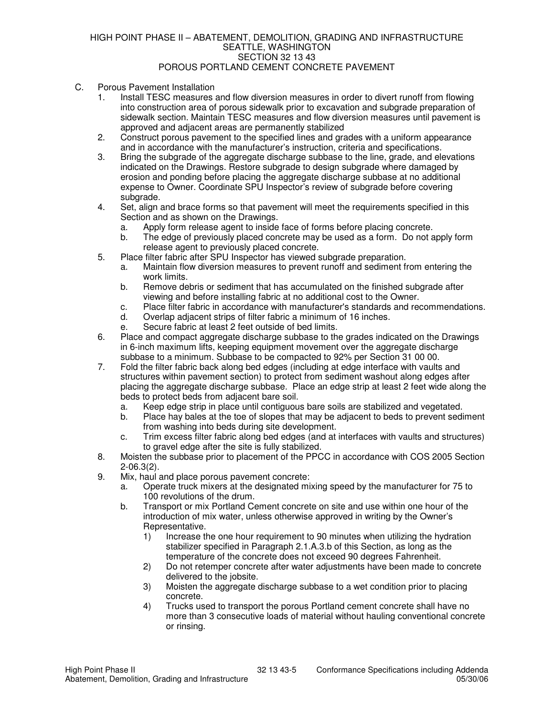#### HIGH POINT PHASE II – ABATEMENT, DEMOLITION, GRADING AND INFRASTRUCTURE SEATTLE, WASHINGTON SECTION 32 13 43 POROUS PORTLAND CEMENT CONCRETE PAVEMENT

- C. Porous Pavement Installation
	- 1. Install TESC measures and flow diversion measures in order to divert runoff from flowing into construction area of porous sidewalk prior to excavation and subgrade preparation of sidewalk section. Maintain TESC measures and flow diversion measures until pavement is approved and adjacent areas are permanently stabilized
	- 2. Construct porous pavement to the specified lines and grades with a uniform appearance and in accordance with the manufacturer's instruction, criteria and specifications.
	- 3. Bring the subgrade of the aggregate discharge subbase to the line, grade, and elevations indicated on the Drawings. Restore subgrade to design subgrade where damaged by erosion and ponding before placing the aggregate discharge subbase at no additional expense to Owner. Coordinate SPU Inspector's review of subgrade before covering subgrade.
	- 4. Set, align and brace forms so that pavement will meet the requirements specified in this Section and as shown on the Drawings.
		- a. Apply form release agent to inside face of forms before placing concrete.
		- b. The edge of previously placed concrete may be used as a form. Do not apply form release agent to previously placed concrete.
	- 5. Place filter fabric after SPU Inspector has viewed subgrade preparation.
		- a. Maintain flow diversion measures to prevent runoff and sediment from entering the work limits.
		- b. Remove debris or sediment that has accumulated on the finished subgrade after viewing and before installing fabric at no additional cost to the Owner.
		- c. Place filter fabric in accordance with manufacturer's standards and recommendations.
		- d. Overlap adjacent strips of filter fabric a minimum of 16 inches.
		- e. Secure fabric at least 2 feet outside of bed limits.
	- 6. Place and compact aggregate discharge subbase to the grades indicated on the Drawings in 6-inch maximum lifts, keeping equipment movement over the aggregate discharge subbase to a minimum. Subbase to be compacted to 92% per Section 31 00 00.
	- 7. Fold the filter fabric back along bed edges (including at edge interface with vaults and structures within pavement section) to protect from sediment washout along edges after placing the aggregate discharge subbase. Place an edge strip at least 2 feet wide along the beds to protect beds from adjacent bare soil.
		- a. Keep edge strip in place until contiguous bare soils are stabilized and vegetated.
		- Place hay bales at the toe of slopes that may be adjacent to beds to prevent sediment from washing into beds during site development.
		- c. Trim excess filter fabric along bed edges (and at interfaces with vaults and structures) to gravel edge after the site is fully stabilized.
	- 8. Moisten the subbase prior to placement of the PPCC in accordance with COS 2005 Section 2-06.3(2).
	- 9. Mix, haul and place porous pavement concrete:
		- a. Operate truck mixers at the designated mixing speed by the manufacturer for 75 to 100 revolutions of the drum.
		- b. Transport or mix Portland Cement concrete on site and use within one hour of the introduction of mix water, unless otherwise approved in writing by the Owner's Representative.
			- 1) Increase the one hour requirement to 90 minutes when utilizing the hydration stabilizer specified in Paragraph 2.1.A.3.b of this Section, as long as the temperature of the concrete does not exceed 90 degrees Fahrenheit.
			- 2) Do not retemper concrete after water adjustments have been made to concrete delivered to the jobsite.
			- 3) Moisten the aggregate discharge subbase to a wet condition prior to placing concrete.
			- 4) Trucks used to transport the porous Portland cement concrete shall have no more than 3 consecutive loads of material without hauling conventional concrete or rinsing.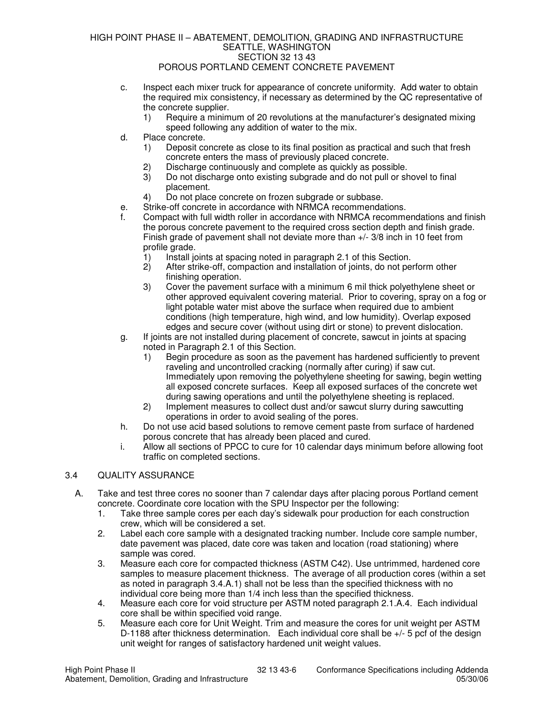# HIGH POINT PHASE II – ABATEMENT, DEMOLITION, GRADING AND INFRASTRUCTURE SEATTLE, WASHINGTON SECTION 32 13 43

# POROUS PORTLAND CEMENT CONCRETE PAVEMENT

- c. Inspect each mixer truck for appearance of concrete uniformity. Add water to obtain the required mix consistency, if necessary as determined by the QC representative of the concrete supplier.
	- 1) Require a minimum of 20 revolutions at the manufacturer's designated mixing speed following any addition of water to the mix.
- d. Place concrete.
	- 1) Deposit concrete as close to its final position as practical and such that fresh concrete enters the mass of previously placed concrete.
	- 2) Discharge continuously and complete as quickly as possible.
	- 3) Do not discharge onto existing subgrade and do not pull or shovel to final placement.
	- 4) Do not place concrete on frozen subgrade or subbase.
- e. Strike-off concrete in accordance with NRMCA recommendations.
- f. Compact with full width roller in accordance with NRMCA recommendations and finish the porous concrete pavement to the required cross section depth and finish grade. Finish grade of pavement shall not deviate more than +/- 3/8 inch in 10 feet from profile grade.
	- 1) Install joints at spacing noted in paragraph 2.1 of this Section.<br>2) After strike-off, compaction and installation of ioints, do not pe
	- 2) After strike-off, compaction and installation of joints, do not perform other finishing operation.
	- 3) Cover the pavement surface with a minimum 6 mil thick polyethylene sheet or other approved equivalent covering material. Prior to covering, spray on a fog or light potable water mist above the surface when required due to ambient conditions (high temperature, high wind, and low humidity). Overlap exposed edges and secure cover (without using dirt or stone) to prevent dislocation.
- g. If joints are not installed during placement of concrete, sawcut in joints at spacing noted in Paragraph 2.1 of this Section.
	- 1) Begin procedure as soon as the pavement has hardened sufficiently to prevent raveling and uncontrolled cracking (normally after curing) if saw cut. Immediately upon removing the polyethylene sheeting for sawing, begin wetting all exposed concrete surfaces. Keep all exposed surfaces of the concrete wet during sawing operations and until the polyethylene sheeting is replaced.
	- 2) Implement measures to collect dust and/or sawcut slurry during sawcutting operations in order to avoid sealing of the pores.
- h. Do not use acid based solutions to remove cement paste from surface of hardened porous concrete that has already been placed and cured.
- i. Allow all sections of PPCC to cure for 10 calendar days minimum before allowing foot traffic on completed sections.

# 3.4 QUALITY ASSURANCE

- A. Take and test three cores no sooner than 7 calendar days after placing porous Portland cement concrete. Coordinate core location with the SPU Inspector per the following:
	- 1. Take three sample cores per each day's sidewalk pour production for each construction crew, which will be considered a set.
	- 2. Label each core sample with a designated tracking number. Include core sample number, date pavement was placed, date core was taken and location (road stationing) where sample was cored.
	- 3. Measure each core for compacted thickness (ASTM C42). Use untrimmed, hardened core samples to measure placement thickness. The average of all production cores (within a set as noted in paragraph 3.4.A.1) shall not be less than the specified thickness with no individual core being more than 1/4 inch less than the specified thickness.
	- 4. Measure each core for void structure per ASTM noted paragraph 2.1.A.4. Each individual core shall be within specified void range.
	- 5. Measure each core for Unit Weight. Trim and measure the cores for unit weight per ASTM D-1188 after thickness determination. Each individual core shall be +/- 5 pcf of the design unit weight for ranges of satisfactory hardened unit weight values.